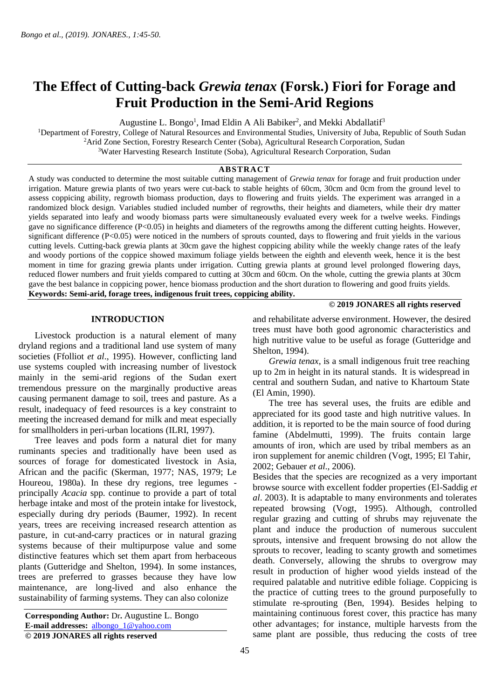# **The Effect of Cutting-back** *Grewia tenax* **(Forsk.) Fiori for Forage and Fruit Production in the Semi-Arid Regions**

Augustine L. Bongo<sup>1</sup>, Imad Eldin A Ali Babiker<sup>2</sup>, and Mekki Abdallatif<sup>3</sup>

<sup>1</sup>Department of Forestry, College of Natural Resources and Environmental Studies, University of Juba, Republic of South Sudan <sup>2</sup>Arid Zone Section, Forestry Research Center (Soba), Agricultural Research Corporation, Sudan <sup>3</sup>Water Harvesting Research Institute (Soba), Agricultural Research Corporation, Sudan

# **ABSTRACT**

A study was conducted to determine the most suitable cutting management of *Grewia tenax* for forage and fruit production under irrigation. Mature grewia plants of two years were cut-back to stable heights of 60cm, 30cm and 0cm from the ground level to assess coppicing ability, regrowth biomass production, days to flowering and fruits yields. The experiment was arranged in a randomized block design. Variables studied included number of regrowths, their heights and diameters, while their dry matter yields separated into leafy and woody biomass parts were simultaneously evaluated every week for a twelve weeks. Findings gave no significance difference (P<0.05) in heights and diameters of the regrowths among the different cutting heights. However, significant difference (P<0.05) were noticed in the numbers of sprouts counted, days to flowering and fruit yields in the various cutting levels. Cutting-back grewia plants at 30cm gave the highest coppicing ability while the weekly change rates of the leafy and woody portions of the coppice showed maximum foliage yields between the eighth and eleventh week, hence it is the best moment in time for grazing grewia plants under irrigation. Cutting grewia plants at ground level prolonged flowering days, reduced flower numbers and fruit yields compared to cutting at 30cm and 60cm. On the whole, cutting the grewia plants at 30cm gave the best balance in coppicing power, hence biomass production and the short duration to flowering and good fruits yields. **Keywords: Semi-arid, forage trees, indigenous fruit trees, coppicing ability.**

## **INTRODUCTION**

 Livestock production is a natural element of many dryland regions and a traditional land use system of many societies (Ffolliot *et al*., 1995). However, conflicting land use systems coupled with increasing number of livestock mainly in the semi-arid regions of the Sudan exert tremendous pressure on the marginally productive areas causing permanent damage to soil, trees and pasture. As a result, inadequacy of feed resources is a key constraint to meeting the increased demand for milk and meat especially for smallholders in peri-urban locations (ILRI, 1997).

 Tree leaves and pods form a natural diet for many ruminants species and traditionally have been used as sources of forage for domesticated livestock in Asia, African and the pacific (Skerman, 1977; NAS, 1979; Le Houreou, 1980a). In these dry regions, tree legumes principally *Acacia* spp. continue to provide a part of total herbage intake and most of the protein intake for livestock, especially during dry periods (Baumer, 1992). In recent years, trees are receiving increased research attention as pasture, in cut-and-carry practices or in natural grazing systems because of their multipurpose value and some distinctive features which set them apart from herbaceous plants (Gutteridge and Shelton, 1994). In some instances, trees are preferred to grasses because they have low maintenance, are long-lived and also enhance the sustainability of farming systems. They can also colonize

and rehabilitate adverse environment. However, the desired trees must have both good agronomic characteristics and high nutritive value to be useful as forage (Gutteridge and Shelton, 1994).

 **© 2019 JONARES all rights reserved** 

 *Grewia tenax*, is a small indigenous fruit tree reaching up to 2m in height in its natural stands. It is widespread in central and southern Sudan, and native to Khartoum State (El Amin, 1990).

 The tree has several uses, the fruits are edible and appreciated for its good taste and high nutritive values. In addition, it is reported to be the main source of food during famine (Abdelmutti, 1999). The fruits contain large amounts of iron, which are used by tribal members as an iron supplement for anemic children (Vogt, 1995; El Tahir, 2002; Gebauer *et al*., 2006).

Besides that the species are recognized as a very important browse source with excellent fodder properties (El-Saddig *et al*. 2003). It is adaptable to many environments and tolerates repeated browsing (Vogt, 1995). Although, controlled regular grazing and cutting of shrubs may rejuvenate the plant and induce the production of numerous succulent sprouts, intensive and frequent browsing do not allow the sprouts to recover, leading to scanty growth and sometimes death. Conversely, allowing the shrubs to overgrow may result in production of higher wood yields instead of the required palatable and nutritive edible foliage. Coppicing is the practice of cutting trees to the ground purposefully to stimulate re-sprouting (Ben, 1994). Besides helping to maintaining continuous forest cover, this practice has many other advantages; for instance, multiple harvests from the same plant are possible, thus reducing the costs of tree

**Corresponding Author:** Dr**.** Augustine L. Bongo **E-mail addresses:** [albongo\\_1@yahoo.com](mailto:albongo_1@yahoo.com) **© 2019 JONARES all rights reserved**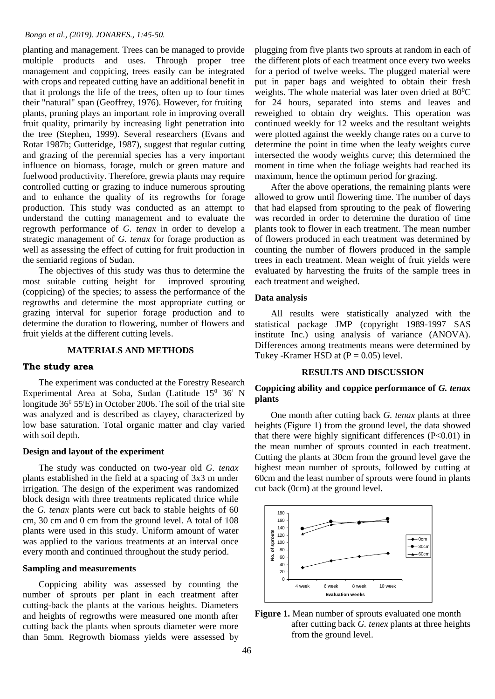planting and management. Trees can be managed to provide multiple products and uses. Through proper tree management and coppicing, trees easily can be integrated with crops and repeated cutting have an additional benefit in that it prolongs the life of the trees, often up to four times their "natural" span (Geoffrey, 1976). However, for fruiting plants, pruning plays an important role in improving overall fruit quality, primarily by increasing light penetration into the tree (Stephen, 1999). Several researchers (Evans and Rotar 1987b; Gutteridge, 1987), suggest that regular cutting and grazing of the perennial species has a very important influence on biomass, forage, mulch or green mature and fuelwood productivity. Therefore, grewia plants may require controlled cutting or grazing to induce numerous sprouting and to enhance the quality of its regrowths for forage production. This study was conducted as an attempt to understand the cutting management and to evaluate the regrowth performance of *G. tenax* in order to develop a strategic management of *G. tenax* for forage production as well as assessing the effect of cutting for fruit production in the semiarid regions of Sudan.

 The objectives of this study was thus to determine the most suitable cutting height for improved sprouting (coppicing) of the species; to assess the performance of the regrowths and determine the most appropriate cutting or grazing interval for superior forage production and to determine the duration to flowering, number of flowers and fruit yields at the different cutting levels.

# **MATERIALS AND METHODS**

#### **The study area**

 The experiment was conducted at the Forestry Research Experimental Area at Soba, Sudan (Latitude  $15^0$  36<sup>/</sup> N longitude  $36^{\circ}$  55 $\circ$ E) in October 2006. The soil of the trial site was analyzed and is described as clayey, characterized by low base saturation. Total organic matter and clay varied with soil depth.

#### **Design and layout of the experiment**

 The study was conducted on two-year old *G. tenax* plants established in the field at a spacing of 3x3 m under irrigation. The design of the experiment was randomized block design with three treatments replicated thrice while the *G. tenax* plants were cut back to stable heights of 60 cm, 30 cm and 0 cm from the ground level. A total of 108 plants were used in this study. Uniform amount of water was applied to the various treatments at an interval once every month and continued throughout the study period.

#### **Sampling and measurements**

 Coppicing ability was assessed by counting the number of sprouts per plant in each treatment after cutting-back the plants at the various heights. Diameters and heights of regrowths were measured one month after cutting back the plants when sprouts diameter were more than 5mm. Regrowth biomass yields were assessed by

plugging from five plants two sprouts at random in each of the different plots of each treatment once every two weeks for a period of twelve weeks. The plugged material were put in paper bags and weighted to obtain their fresh weights. The whole material was later oven dried at  $80^{\circ}$ C for 24 hours, separated into stems and leaves and reweighed to obtain dry weights. This operation was continued weekly for 12 weeks and the resultant weights were plotted against the weekly change rates on a curve to determine the point in time when the leafy weights curve intersected the woody weights curve; this determined the moment in time when the foliage weights had reached its maximum, hence the optimum period for grazing.

 After the above operations, the remaining plants were allowed to grow until flowering time. The number of days that had elapsed from sprouting to the peak of flowering was recorded in order to determine the duration of time plants took to flower in each treatment. The mean number of flowers produced in each treatment was determined by counting the number of flowers produced in the sample trees in each treatment. Mean weight of fruit yields were evaluated by harvesting the fruits of the sample trees in each treatment and weighed.

## **Data analysis**

 All results were statistically analyzed with the statistical package JMP (copyright 1989-1997 SAS institute Inc.) using analysis of variance (ANOVA). Differences among treatments means were determined by Tukey -Kramer HSD at  $(P = 0.05)$  level.

## **RESULTS AND DISCUSSION**

# **Coppicing ability and coppice performance of** *G. tenax* **plants**

 One month after cutting back *G. tenax* plants at three heights (Figure 1) from the ground level, the data showed that there were highly significant differences (P<0.01) in the mean number of sprouts counted in each treatment. Cutting the plants at 30cm from the ground level gave the highest mean number of sprouts, followed by cutting at 60cm and the least number of sprouts were found in plants cut back (0cm) at the ground level.



Figure 1. Mean number of sprouts evaluated one month after cutting back *G. tenex* plants at three heights from the ground level.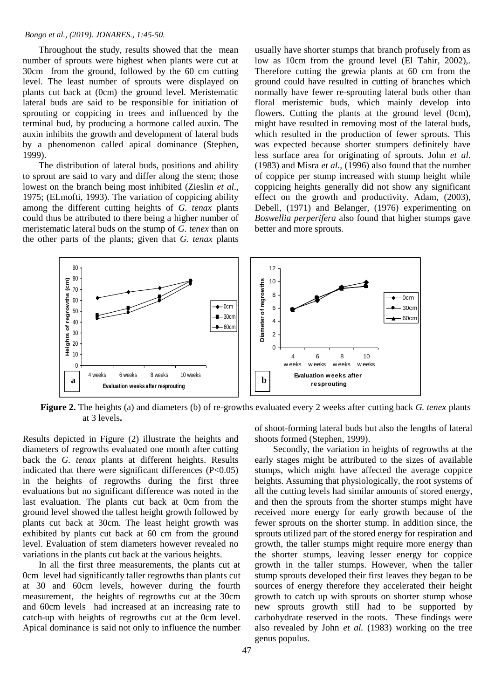Throughout the study, results showed that the mean number of sprouts were highest when plants were cut at 30cm from the ground, followed by the 60 cm cutting level. The least number of sprouts were displayed on plants cut back at (0cm) the ground level. Meristematic lateral buds are said to be responsible for initiation of sprouting or coppicing in trees and influenced by the terminal bud, by producing a hormone called auxin. The auxin inhibits the growth and development of lateral buds by a phenomenon called apical dominance (Stephen, 1999).

 The distribution of lateral buds, positions and ability to sprout are said to vary and differ along the stem; those lowest on the branch being most inhibited (Zieslin *et al*., 1975; (ELmofti, 1993). The variation of coppicing ability among the different cutting heights of *G. tenax* plants could thus be attributed to there being a higher number of meristematic lateral buds on the stump of *G. tenex* than on the other parts of the plants; given that *G. tenax* plants

usually have shorter stumps that branch profusely from as low as 10cm from the ground level (El Tahir, 2002),. Therefore cutting the grewia plants at 60 cm from the ground could have resulted in cutting of branches which normally have fewer re-sprouting lateral buds other than floral meristemic buds, which mainly develop into flowers. Cutting the plants at the ground level (0cm), might have resulted in removing most of the lateral buds, which resulted in the production of fewer sprouts. This was expected because shorter stumpers definitely have less surface area for originating of sprouts. John *et al.* (1983) and Misra *et al.,* (1996) also found that the number of coppice per stump increased with stump height while coppicing heights generally did not show any significant effect on the growth and productivity. Adam, (2003), Debell, (1971) and Belanger, (1976) experimenting on *Boswellia perperifera* also found that higher stumps gave better and more sprouts.



**Figure 2.** The heights (a) and diameters (b) of re-growths evaluated every 2 weeks after cutting back *G. tenex* plants at 3 levels**.**

Results depicted in Figure (2) illustrate the heights and diameters of regrowths evaluated one month after cutting back the *G. tenax* plants at different heights. Results indicated that there were significant differences (P<0.05) in the heights of regrowths during the first three evaluations but no significant difference was noted in the last evaluation. The plants cut back at 0cm from the ground level showed the tallest height growth followed by plants cut back at 30cm. The least height growth was exhibited by plants cut back at 60 cm from the ground level. Evaluation of stem diameters however revealed no variations in the plants cut back at the various heights.

 In all the first three measurements, the plants cut at 0cm level had significantly taller regrowths than plants cut at 30 and 60cm levels, however during the fourth measurement, the heights of regrowths cut at the 30cm and 60cm levels had increased at an increasing rate to catch-up with heights of regrowths cut at the 0cm level. Apical dominance is said not only to influence the number of shoot-forming lateral buds but also the lengths of lateral shoots formed (Stephen, 1999).

 Secondly, the variation in heights of regrowths at the early stages might be attributed to the sizes of available stumps, which might have affected the average coppice heights. Assuming that physiologically, the root systems of all the cutting levels had similar amounts of stored energy, and then the sprouts from the shorter stumps might have received more energy for early growth because of the fewer sprouts on the shorter stump. In addition since, the sprouts utilized part of the stored energy for respiration and growth, the taller stumps might require more energy than the shorter stumps, leaving lesser energy for coppice growth in the taller stumps. However, when the taller stump sprouts developed their first leaves they began to be sources of energy therefore they accelerated their height growth to catch up with sprouts on shorter stump whose new sprouts growth still had to be supported by carbohydrate reserved in the roots. These findings were also revealed by John *et al.* (1983) working on the tree genus populus.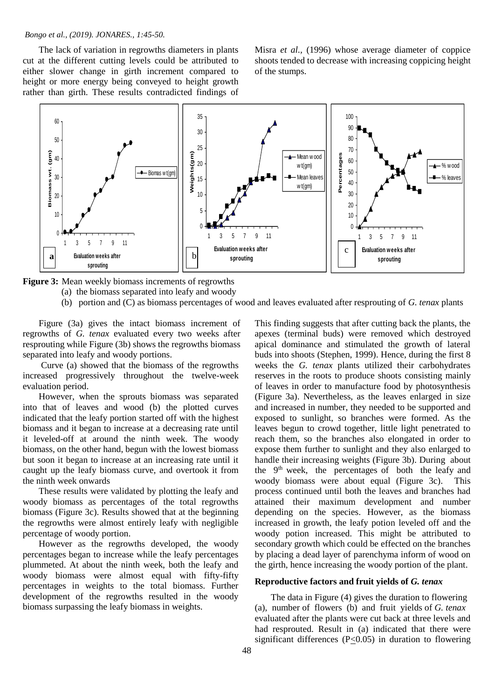The lack of variation in regrowths diameters in plants cut at the different cutting levels could be attributed to either slower change in girth increment compared to height or more energy being conveyed to height growth rather than girth. These results contradicted findings of

Misra *et al.,* (1996) whose average diameter of coppice shoots tended to decrease with increasing coppicing height of the stumps.



**Figure 3:** Mean weekly biomass increments of regrowths

- (a) the biomass separated into leafy and woody
- (b) portion and (C) as biomass percentages of wood and leaves evaluated after resprouting of *G. tenax* plants

 Figure (3a) gives the intact biomass increment of regrowths of *G. tenax* evaluated every two weeks after resprouting while Figure (3b) shows the regrowths biomass separated into leafy and woody portions.

 Curve (a) showed that the biomass of the regrowths increased progressively throughout the twelve-week evaluation period.

 However, when the sprouts biomass was separated into that of leaves and wood (b) the plotted curves indicated that the leafy portion started off with the highest biomass and it began to increase at a decreasing rate until it leveled-off at around the ninth week. The woody biomass, on the other hand, begun with the lowest biomass but soon it began to increase at an increasing rate until it caught up the leafy biomass curve, and overtook it from the ninth week onwards

 These results were validated by plotting the leafy and woody biomass as percentages of the total regrowths biomass (Figure 3c). Results showed that at the beginning the regrowths were almost entirely leafy with negligible percentage of woody portion.

 However as the regrowths developed, the woody percentages began to increase while the leafy percentages plummeted. At about the ninth week, both the leafy and woody biomass were almost equal with fifty-fifty percentages in weights to the total biomass. Further development of the regrowths resulted in the woody biomass surpassing the leafy biomass in weights.

This finding suggests that after cutting back the plants, the apexes (terminal buds) were removed which destroyed apical dominance and stimulated the growth of lateral buds into shoots (Stephen, 1999). Hence, during the first 8 weeks the *G. tenax* plants utilized their carbohydrates reserves in the roots to produce shoots consisting mainly of leaves in order to manufacture food by photosynthesis (Figure 3a). Nevertheless, as the leaves enlarged in size and increased in number, they needed to be supported and exposed to sunlight, so branches were formed. As the leaves begun to crowd together, little light penetrated to reach them, so the branches also elongated in order to expose them further to sunlight and they also enlarged to handle their increasing weights (Figure 3b). During about the 9<sup>th</sup> week, the percentages of both the leafy and woody biomass were about equal (Figure 3c). This process continued until both the leaves and branches had attained their maximum development and number depending on the species. However, as the biomass increased in growth, the leafy potion leveled off and the woody potion increased. This might be attributed to secondary growth which could be effected on the branches by placing a dead layer of parenchyma inform of wood on the girth, hence increasing the woody portion of the plant.

## **Reproductive factors and fruit yields of** *G. tenax*

 The data in Figure (4) gives the duration to flowering (a), number of flowers (b) and fruit yields of *G. tenax* evaluated after the plants were cut back at three levels and had resprouted. Result in (a) indicated that there were significant differences ( $P \leq 0.05$ ) in duration to flowering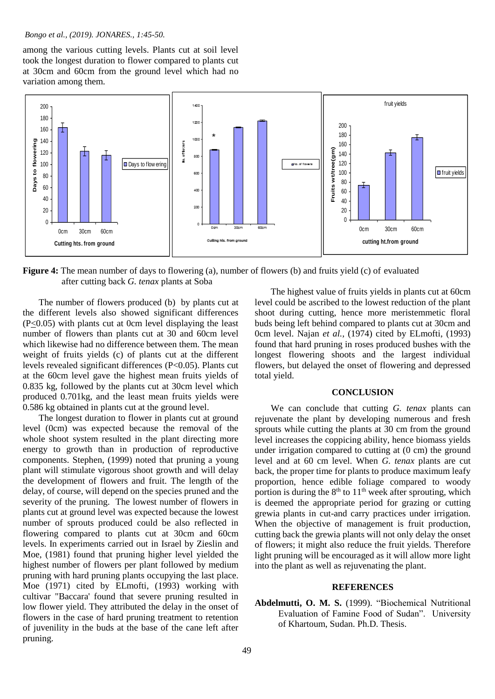among the various cutting levels. Plants cut at soil level took the longest duration to flower compared to plants cut at 30cm and 60cm from the ground level which had no variation among them.



**Figure 4:** The mean number of days to flowering (a), number of flowers (b) and fruits yield (c) of evaluated after cutting back *G. tenax* plants at Soba

 The number of flowers produced (b) by plants cut at the different levels also showed significant differences (P<0.05) with plants cut at 0cm level displaying the least number of flowers than plants cut at 30 and 60cm level which likewise had no difference between them. The mean weight of fruits yields (c) of plants cut at the different levels revealed significant differences (P<0.05). Plants cut at the 60cm level gave the highest mean fruits yields of 0.835 kg, followed by the plants cut at 30cm level which produced 0.701kg, and the least mean fruits yields were 0.586 kg obtained in plants cut at the ground level.

 The longest duration to flower in plants cut at ground level (0cm) was expected because the removal of the whole shoot system resulted in the plant directing more energy to growth than in production of reproductive components. Stephen, (1999) noted that pruning a young plant will stimulate vigorous shoot growth and will delay the development of flowers and fruit. The length of the delay, of course, will depend on the species pruned and the severity of the pruning. The lowest number of flowers in plants cut at ground level was expected because the lowest number of sprouts produced could be also reflected in flowering compared to plants cut at 30cm and 60cm levels. In experiments carried out in Israel by Zieslin and Moe, (1981) found that pruning higher level yielded the highest number of flowers per plant followed by medium pruning with hard pruning plants occupying the last place. Moe (1971) cited by ELmofti, (1993) working with cultivar "Baccara' found that severe pruning resulted in low flower yield. They attributed the delay in the onset of flowers in the case of hard pruning treatment to retention of juvenility in the buds at the base of the cane left after pruning.

 The highest value of fruits yields in plants cut at 60cm level could be ascribed to the lowest reduction of the plant shoot during cutting, hence more meristemmetic floral buds being left behind compared to plants cut at 30cm and 0cm level. Najan *et al.,* (1974) cited by ELmofti, (1993) found that hard pruning in roses produced bushes with the longest flowering shoots and the largest individual flowers, but delayed the onset of flowering and depressed total yield.

# **CONCLUSION**

 We can conclude that cutting *G. tenax* plants can rejuvenate the plant by developing numerous and fresh sprouts while cutting the plants at 30 cm from the ground level increases the coppicing ability, hence biomass yields under irrigation compared to cutting at (0 cm) the ground level and at 60 cm level. When *G. tenax* plants are cut back, the proper time for plants to produce maximum leafy proportion, hence edible foliage compared to woody portion is during the  $8<sup>th</sup>$  to  $11<sup>th</sup>$  week after sprouting, which is deemed the appropriate period for grazing or cutting grewia plants in cut-and carry practices under irrigation. When the objective of management is fruit production, cutting back the grewia plants will not only delay the onset of flowers; it might also reduce the fruit yields. Therefore light pruning will be encouraged as it will allow more light into the plant as well as rejuvenating the plant.

#### **REFERENCES**

**Abdelmutti, O. M. S.** (1999). "Biochemical Nutritional Evaluation of Famine Food of Sudan". University of Khartoum, Sudan. Ph.D. Thesis.